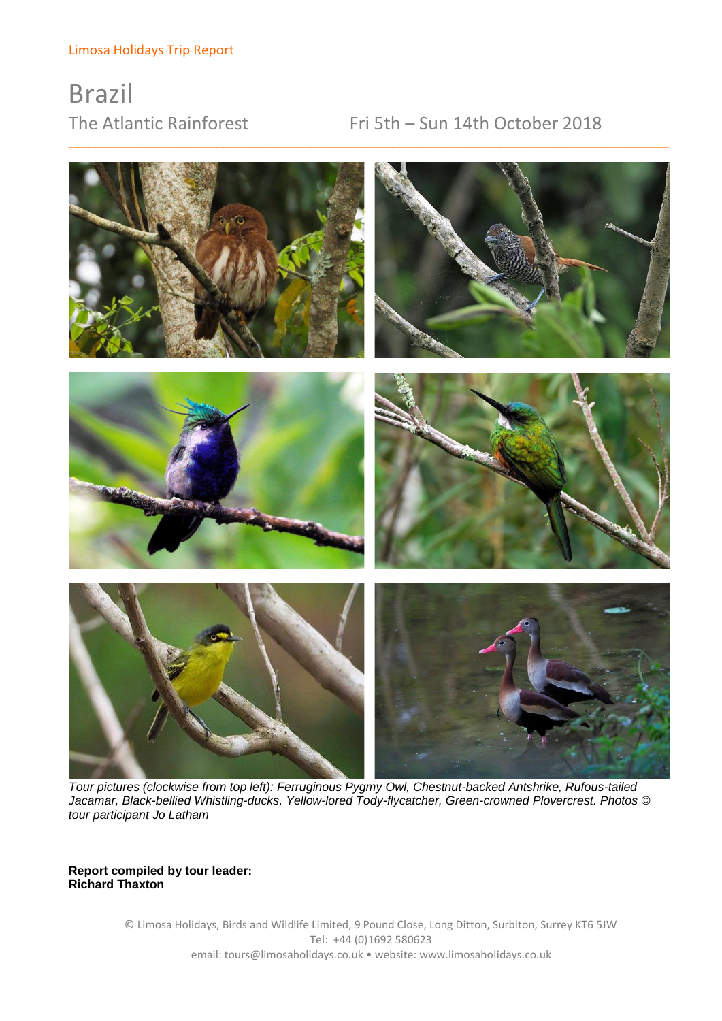# Brazil

## The Atlantic Rainforest Fri 5th – Sun 14th October 2018



\_\_\_\_\_\_\_\_\_\_\_\_\_\_\_\_\_\_\_\_\_\_\_\_\_\_\_\_\_\_\_\_\_\_\_\_\_\_\_\_\_\_\_\_\_\_\_\_\_\_\_\_\_\_\_\_\_\_\_\_\_\_\_\_\_\_\_\_\_\_\_\_\_\_\_\_\_\_\_\_\_\_\_\_\_\_\_\_\_

*Tour pictures (clockwise from top left): Ferruginous Pygmy Owl, Chestnut-backed Antshrike, Rufous-tailed Jacamar, Black-bellied Whistling-ducks, Yellow-lored Tody-flycatcher, Green-crowned Plovercrest. Photos © tour participant Jo Latham*

**Report compiled by tour leader: Richard Thaxton**

> © Limosa Holidays, Birds and Wildlife Limited, 9 Pound Close, Long Ditton, Surbiton, Surrey KT6 5JW Tel: +44 (0)1692 580623 email: tours@limosaholidays.co.uk • website: www.limosaholidays.co.uk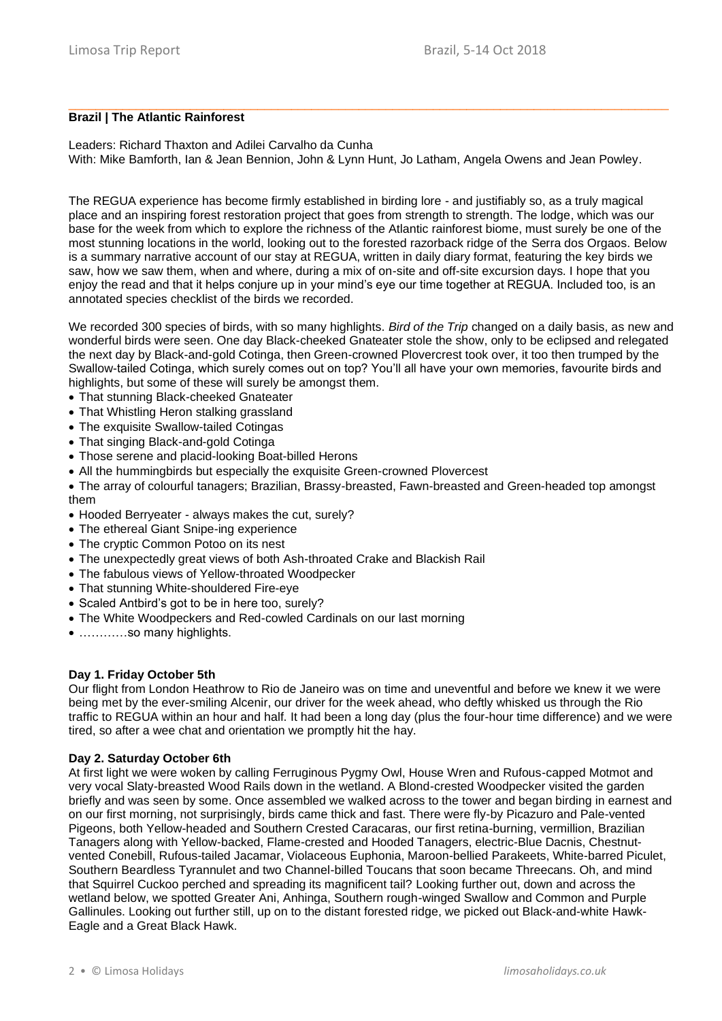#### **Brazil | The Atlantic Rainforest**

Leaders: Richard Thaxton and Adilei Carvalho da Cunha With: Mike Bamforth, Ian & Jean Bennion, John & Lynn Hunt, Jo Latham, Angela Owens and Jean Powley.

\_\_\_\_\_\_\_\_\_\_\_\_\_\_\_\_\_\_\_\_\_\_\_\_\_\_\_\_\_\_\_\_\_\_\_\_\_\_\_\_\_\_\_\_\_\_\_\_\_\_\_\_\_\_\_\_\_\_\_\_\_\_\_\_\_\_\_\_\_\_\_\_\_\_\_\_\_\_\_\_\_\_\_\_\_\_\_\_\_

The REGUA experience has become firmly established in birding lore - and justifiably so, as a truly magical place and an inspiring forest restoration project that goes from strength to strength. The lodge, which was our base for the week from which to explore the richness of the Atlantic rainforest biome, must surely be one of the most stunning locations in the world, looking out to the forested razorback ridge of the Serra dos Orgaos. Below is a summary narrative account of our stay at REGUA, written in daily diary format, featuring the key birds we saw, how we saw them, when and where, during a mix of on-site and off-site excursion days. I hope that you enjoy the read and that it helps conjure up in your mind's eye our time together at REGUA. Included too, is an annotated species checklist of the birds we recorded.

We recorded 300 species of birds, with so many highlights. *Bird of the Trip* changed on a daily basis, as new and wonderful birds were seen. One day Black-cheeked Gnateater stole the show, only to be eclipsed and relegated the next day by Black-and-gold Cotinga, then Green-crowned Plovercrest took over, it too then trumped by the Swallow-tailed Cotinga, which surely comes out on top? You'll all have your own memories, favourite birds and highlights, but some of these will surely be amongst them.

- That stunning Black-cheeked Gnateater
- That Whistling Heron stalking grassland
- The exquisite Swallow-tailed Cotingas
- That singing Black-and-gold Cotinga
- Those serene and placid-looking Boat-billed Herons
- All the hummingbirds but especially the exquisite Green-crowned Plovercest

• The array of colourful tanagers; Brazilian, Brassy-breasted, Fawn-breasted and Green-headed top amongst them

- Hooded Berryeater always makes the cut, surely?
- The ethereal Giant Snipe-ing experience
- The cryptic Common Potoo on its nest
- The unexpectedly great views of both Ash-throated Crake and Blackish Rail
- The fabulous views of Yellow-throated Woodpecker
- That stunning White-shouldered Fire-eye
- Scaled Antbird's got to be in here too, surely?
- The White Woodpeckers and Red-cowled Cardinals on our last morning
- …………so many highlights.

#### **Day 1. Friday October 5th**

Our flight from London Heathrow to Rio de Janeiro was on time and uneventful and before we knew it we were being met by the ever-smiling Alcenir, our driver for the week ahead, who deftly whisked us through the Rio traffic to REGUA within an hour and half. It had been a long day (plus the four-hour time difference) and we were tired, so after a wee chat and orientation we promptly hit the hay.

#### **Day 2. Saturday October 6th**

At first light we were woken by calling Ferruginous Pygmy Owl, House Wren and Rufous-capped Motmot and very vocal Slaty-breasted Wood Rails down in the wetland. A Blond-crested Woodpecker visited the garden briefly and was seen by some. Once assembled we walked across to the tower and began birding in earnest and on our first morning, not surprisingly, birds came thick and fast. There were fly-by Picazuro and Pale-vented Pigeons, both Yellow-headed and Southern Crested Caracaras, our first retina-burning, vermillion, Brazilian Tanagers along with Yellow-backed, Flame-crested and Hooded Tanagers, electric-Blue Dacnis, Chestnutvented Conebill, Rufous-tailed Jacamar, Violaceous Euphonia, Maroon-bellied Parakeets, White-barred Piculet, Southern Beardless Tyrannulet and two Channel-billed Toucans that soon became Threecans. Oh, and mind that Squirrel Cuckoo perched and spreading its magnificent tail? Looking further out, down and across the wetland below, we spotted Greater Ani, Anhinga, Southern rough-winged Swallow and Common and Purple Gallinules. Looking out further still, up on to the distant forested ridge, we picked out Black-and-white Hawk-Eagle and a Great Black Hawk.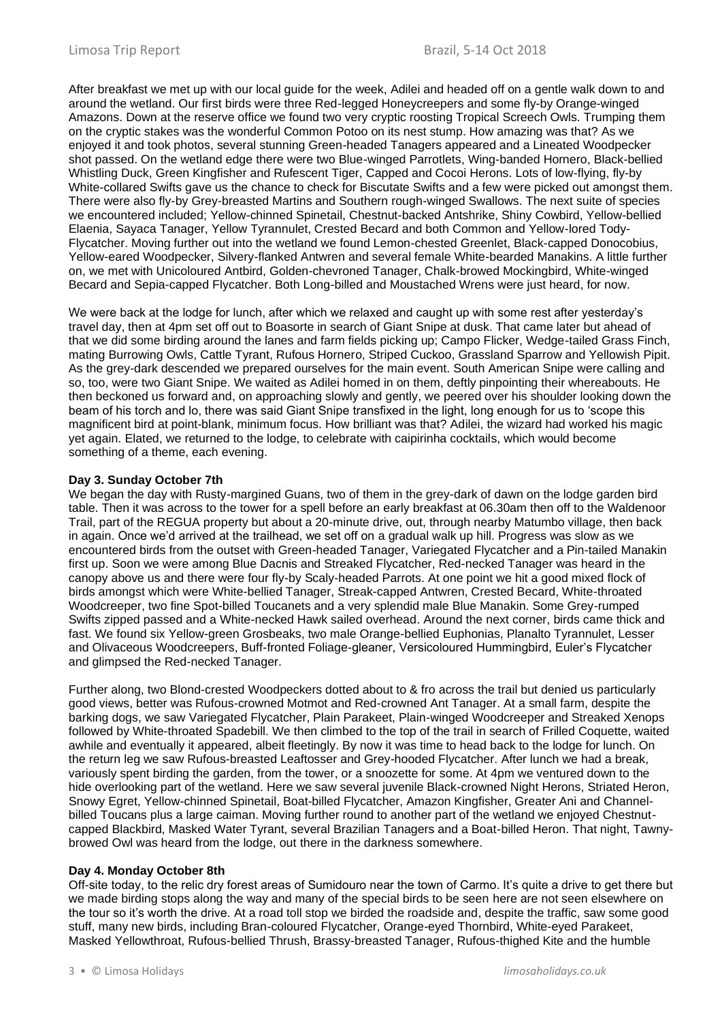After breakfast we met up with our local guide for the week, Adilei and headed off on a gentle walk down to and around the wetland. Our first birds were three Red-legged Honeycreepers and some fly-by Orange-winged Amazons. Down at the reserve office we found two very cryptic roosting Tropical Screech Owls. Trumping them on the cryptic stakes was the wonderful Common Potoo on its nest stump. How amazing was that? As we enjoyed it and took photos, several stunning Green-headed Tanagers appeared and a Lineated Woodpecker shot passed. On the wetland edge there were two Blue-winged Parrotlets, Wing-banded Hornero, Black-bellied Whistling Duck, Green Kingfisher and Rufescent Tiger, Capped and Cocoi Herons. Lots of low-flying, fly-by White-collared Swifts gave us the chance to check for Biscutate Swifts and a few were picked out amongst them. There were also fly-by Grey-breasted Martins and Southern rough-winged Swallows. The next suite of species we encountered included; Yellow-chinned Spinetail, Chestnut-backed Antshrike, Shiny Cowbird, Yellow-bellied Elaenia, Sayaca Tanager, Yellow Tyrannulet, Crested Becard and both Common and Yellow-lored Tody-Flycatcher. Moving further out into the wetland we found Lemon-chested Greenlet, Black-capped Donocobius, Yellow-eared Woodpecker, Silvery-flanked Antwren and several female White-bearded Manakins. A little further on, we met with Unicoloured Antbird, Golden-chevroned Tanager, Chalk-browed Mockingbird, White-winged Becard and Sepia-capped Flycatcher. Both Long-billed and Moustached Wrens were just heard, for now.

We were back at the lodge for lunch, after which we relaxed and caught up with some rest after yesterday's travel day, then at 4pm set off out to Boasorte in search of Giant Snipe at dusk. That came later but ahead of that we did some birding around the lanes and farm fields picking up; Campo Flicker, Wedge-tailed Grass Finch, mating Burrowing Owls, Cattle Tyrant, Rufous Hornero, Striped Cuckoo, Grassland Sparrow and Yellowish Pipit. As the grey-dark descended we prepared ourselves for the main event. South American Snipe were calling and so, too, were two Giant Snipe. We waited as Adilei homed in on them, deftly pinpointing their whereabouts. He then beckoned us forward and, on approaching slowly and gently, we peered over his shoulder looking down the beam of his torch and lo, there was said Giant Snipe transfixed in the light, long enough for us to 'scope this magnificent bird at point-blank, minimum focus. How brilliant was that? Adilei, the wizard had worked his magic yet again. Elated, we returned to the lodge, to celebrate with caipirinha cocktails, which would become something of a theme, each evening.

#### **Day 3. Sunday October 7th**

We began the day with Rusty-margined Guans, two of them in the grey-dark of dawn on the lodge garden bird table. Then it was across to the tower for a spell before an early breakfast at 06.30am then off to the Waldenoor Trail, part of the REGUA property but about a 20-minute drive, out, through nearby Matumbo village, then back in again. Once we'd arrived at the trailhead, we set off on a gradual walk up hill. Progress was slow as we encountered birds from the outset with Green-headed Tanager, Variegated Flycatcher and a Pin-tailed Manakin first up. Soon we were among Blue Dacnis and Streaked Flycatcher, Red-necked Tanager was heard in the canopy above us and there were four fly-by Scaly-headed Parrots. At one point we hit a good mixed flock of birds amongst which were White-bellied Tanager, Streak-capped Antwren, Crested Becard, White-throated Woodcreeper, two fine Spot-billed Toucanets and a very splendid male Blue Manakin. Some Grey-rumped Swifts zipped passed and a White-necked Hawk sailed overhead. Around the next corner, birds came thick and fast. We found six Yellow-green Grosbeaks, two male Orange-bellied Euphonias, Planalto Tyrannulet, Lesser and Olivaceous Woodcreepers, Buff-fronted Foliage-gleaner, Versicoloured Hummingbird, Euler's Flycatcher and glimpsed the Red-necked Tanager.

Further along, two Blond-crested Woodpeckers dotted about to & fro across the trail but denied us particularly good views, better was Rufous-crowned Motmot and Red-crowned Ant Tanager. At a small farm, despite the barking dogs, we saw Variegated Flycatcher, Plain Parakeet, Plain-winged Woodcreeper and Streaked Xenops followed by White-throated Spadebill. We then climbed to the top of the trail in search of Frilled Coquette, waited awhile and eventually it appeared, albeit fleetingly. By now it was time to head back to the lodge for lunch. On the return leg we saw Rufous-breasted Leaftosser and Grey-hooded Flycatcher. After lunch we had a break, variously spent birding the garden, from the tower, or a snoozette for some. At 4pm we ventured down to the hide overlooking part of the wetland. Here we saw several juvenile Black-crowned Night Herons, Striated Heron, Snowy Egret, Yellow-chinned Spinetail, Boat-billed Flycatcher, Amazon Kingfisher, Greater Ani and Channelbilled Toucans plus a large caiman. Moving further round to another part of the wetland we enjoyed Chestnutcapped Blackbird, Masked Water Tyrant, several Brazilian Tanagers and a Boat-billed Heron. That night, Tawnybrowed Owl was heard from the lodge, out there in the darkness somewhere.

#### **Day 4. Monday October 8th**

Off-site today, to the relic dry forest areas of Sumidouro near the town of Carmo. It's quite a drive to get there but we made birding stops along the way and many of the special birds to be seen here are not seen elsewhere on the tour so it's worth the drive. At a road toll stop we birded the roadside and, despite the traffic, saw some good stuff, many new birds, including Bran-coloured Flycatcher, Orange-eyed Thornbird, White-eyed Parakeet, Masked Yellowthroat, Rufous-bellied Thrush, Brassy-breasted Tanager, Rufous-thighed Kite and the humble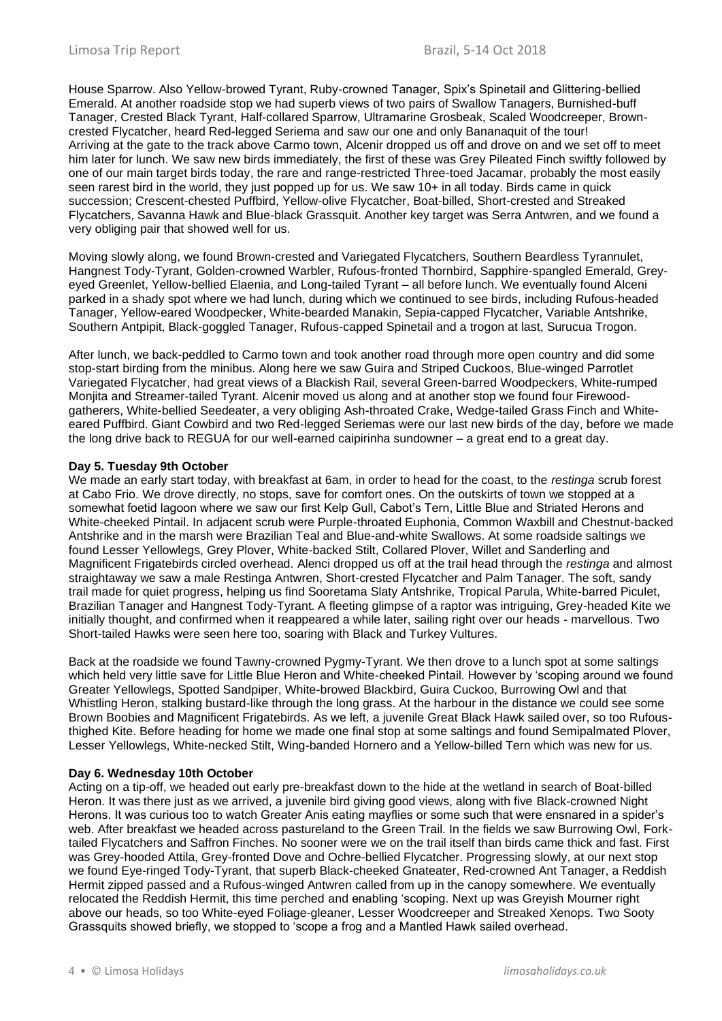House Sparrow. Also Yellow-browed Tyrant, Ruby-crowned Tanager, Spix's Spinetail and Glittering-bellied Emerald. At another roadside stop we had superb views of two pairs of Swallow Tanagers, Burnished-buff Tanager, Crested Black Tyrant, Half-collared Sparrow, Ultramarine Grosbeak, Scaled Woodcreeper, Browncrested Flycatcher, heard Red-legged Seriema and saw our one and only Bananaquit of the tour! Arriving at the gate to the track above Carmo town, Alcenir dropped us off and drove on and we set off to meet him later for lunch. We saw new birds immediately, the first of these was Grey Pileated Finch swiftly followed by one of our main target birds today, the rare and range-restricted Three-toed Jacamar, probably the most easily seen rarest bird in the world, they just popped up for us. We saw 10+ in all today. Birds came in quick succession; Crescent-chested Puffbird, Yellow-olive Flycatcher, Boat-billed, Short-crested and Streaked Flycatchers, Savanna Hawk and Blue-black Grassquit. Another key target was Serra Antwren, and we found a very obliging pair that showed well for us.

Moving slowly along, we found Brown-crested and Variegated Flycatchers, Southern Beardless Tyrannulet, Hangnest Tody-Tyrant, Golden-crowned Warbler, Rufous-fronted Thornbird, Sapphire-spangled Emerald, Greyeyed Greenlet, Yellow-bellied Elaenia, and Long-tailed Tyrant – all before lunch. We eventually found Alceni parked in a shady spot where we had lunch, during which we continued to see birds, including Rufous-headed Tanager, Yellow-eared Woodpecker, White-bearded Manakin, Sepia-capped Flycatcher, Variable Antshrike, Southern Antpipit, Black-goggled Tanager, Rufous-capped Spinetail and a trogon at last, Surucua Trogon.

After lunch, we back-peddled to Carmo town and took another road through more open country and did some stop-start birding from the minibus. Along here we saw Guira and Striped Cuckoos, Blue-winged Parrotlet Variegated Flycatcher, had great views of a Blackish Rail, several Green-barred Woodpeckers, White-rumped Monjita and Streamer-tailed Tyrant. Alcenir moved us along and at another stop we found four Firewoodgatherers, White-bellied Seedeater, a very obliging Ash-throated Crake, Wedge-tailed Grass Finch and Whiteeared Puffbird. Giant Cowbird and two Red-legged Seriemas were our last new birds of the day, before we made the long drive back to REGUA for our well-earned caipirinha sundowner – a great end to a great day.

#### **Day 5. Tuesday 9th October**

We made an early start today, with breakfast at 6am, in order to head for the coast, to the *restinga* scrub forest at Cabo Frio. We drove directly, no stops, save for comfort ones. On the outskirts of town we stopped at a somewhat foetid lagoon where we saw our first Kelp Gull, Cabot's Tern, Little Blue and Striated Herons and White-cheeked Pintail. In adjacent scrub were Purple-throated Euphonia, Common Waxbill and Chestnut-backed Antshrike and in the marsh were Brazilian Teal and Blue-and-white Swallows. At some roadside saltings we found Lesser Yellowlegs, Grey Plover, White-backed Stilt, Collared Plover, Willet and Sanderling and Magnificent Frigatebirds circled overhead. Alenci dropped us off at the trail head through the *restinga* and almost straightaway we saw a male Restinga Antwren, Short-crested Flycatcher and Palm Tanager. The soft, sandy trail made for quiet progress, helping us find Sooretama Slaty Antshrike, Tropical Parula, White-barred Piculet, Brazilian Tanager and Hangnest Tody-Tyrant. A fleeting glimpse of a raptor was intriguing, Grey-headed Kite we initially thought, and confirmed when it reappeared a while later, sailing right over our heads - marvellous. Two Short-tailed Hawks were seen here too, soaring with Black and Turkey Vultures.

Back at the roadside we found Tawny-crowned Pygmy-Tyrant. We then drove to a lunch spot at some saltings which held very little save for Little Blue Heron and White-cheeked Pintail. However by 'scoping around we found Greater Yellowlegs, Spotted Sandpiper, White-browed Blackbird, Guira Cuckoo, Burrowing Owl and that Whistling Heron, stalking bustard-like through the long grass. At the harbour in the distance we could see some Brown Boobies and Magnificent Frigatebirds. As we left, a juvenile Great Black Hawk sailed over, so too Rufousthighed Kite. Before heading for home we made one final stop at some saltings and found Semipalmated Plover, Lesser Yellowlegs, White-necked Stilt, Wing-banded Hornero and a Yellow-billed Tern which was new for us.

#### **Day 6. Wednesday 10th October**

Acting on a tip-off, we headed out early pre-breakfast down to the hide at the wetland in search of Boat-billed Heron. It was there just as we arrived, a juvenile bird giving good views, along with five Black-crowned Night Herons. It was curious too to watch Greater Anis eating mayflies or some such that were ensnared in a spider's web. After breakfast we headed across pastureland to the Green Trail. In the fields we saw Burrowing Owl, Forktailed Flycatchers and Saffron Finches. No sooner were we on the trail itself than birds came thick and fast. First was Grey-hooded Attila, Grey-fronted Dove and Ochre-bellied Flycatcher. Progressing slowly, at our next stop we found Eye-ringed Tody-Tyrant, that superb Black-cheeked Gnateater, Red-crowned Ant Tanager, a Reddish Hermit zipped passed and a Rufous-winged Antwren called from up in the canopy somewhere. We eventually relocated the Reddish Hermit, this time perched and enabling 'scoping. Next up was Greyish Mourner right above our heads, so too White-eyed Foliage-gleaner, Lesser Woodcreeper and Streaked Xenops. Two Sooty Grassquits showed briefly, we stopped to 'scope a frog and a Mantled Hawk sailed overhead.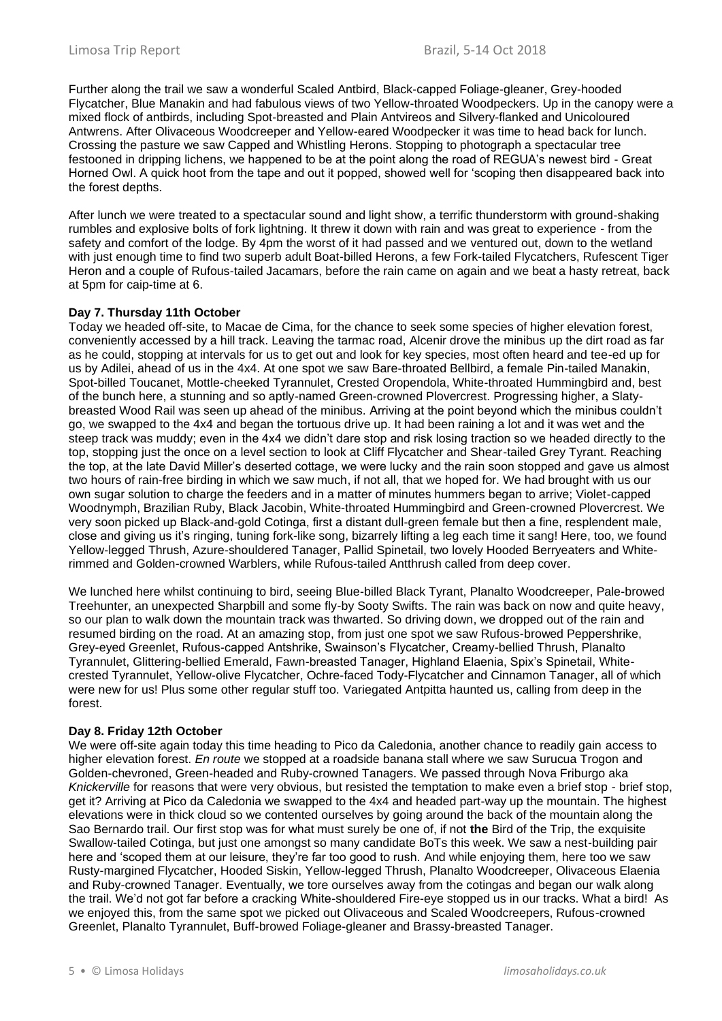Further along the trail we saw a wonderful Scaled Antbird, Black-capped Foliage-gleaner, Grey-hooded Flycatcher, Blue Manakin and had fabulous views of two Yellow-throated Woodpeckers. Up in the canopy were a mixed flock of antbirds, including Spot-breasted and Plain Antvireos and Silvery-flanked and Unicoloured Antwrens. After Olivaceous Woodcreeper and Yellow-eared Woodpecker it was time to head back for lunch. Crossing the pasture we saw Capped and Whistling Herons. Stopping to photograph a spectacular tree festooned in dripping lichens, we happened to be at the point along the road of REGUA's newest bird - Great Horned Owl. A quick hoot from the tape and out it popped, showed well for 'scoping then disappeared back into the forest depths.

After lunch we were treated to a spectacular sound and light show, a terrific thunderstorm with ground-shaking rumbles and explosive bolts of fork lightning. It threw it down with rain and was great to experience - from the safety and comfort of the lodge. By 4pm the worst of it had passed and we ventured out, down to the wetland with just enough time to find two superb adult Boat-billed Herons, a few Fork-tailed Flycatchers, Rufescent Tiger Heron and a couple of Rufous-tailed Jacamars, before the rain came on again and we beat a hasty retreat, back at 5pm for caip-time at 6.

#### **Day 7. Thursday 11th October**

Today we headed off-site, to Macae de Cima, for the chance to seek some species of higher elevation forest, conveniently accessed by a hill track. Leaving the tarmac road, Alcenir drove the minibus up the dirt road as far as he could, stopping at intervals for us to get out and look for key species, most often heard and tee-ed up for us by Adilei, ahead of us in the 4x4. At one spot we saw Bare-throated Bellbird, a female Pin-tailed Manakin, Spot-billed Toucanet, Mottle-cheeked Tyrannulet, Crested Oropendola, White-throated Hummingbird and, best of the bunch here, a stunning and so aptly-named Green-crowned Plovercrest. Progressing higher, a Slatybreasted Wood Rail was seen up ahead of the minibus. Arriving at the point beyond which the minibus couldn't go, we swapped to the 4x4 and began the tortuous drive up. It had been raining a lot and it was wet and the steep track was muddy; even in the 4x4 we didn't dare stop and risk losing traction so we headed directly to the top, stopping just the once on a level section to look at Cliff Flycatcher and Shear-tailed Grey Tyrant. Reaching the top, at the late David Miller's deserted cottage, we were lucky and the rain soon stopped and gave us almost two hours of rain-free birding in which we saw much, if not all, that we hoped for. We had brought with us our own sugar solution to charge the feeders and in a matter of minutes hummers began to arrive; Violet-capped Woodnymph, Brazilian Ruby, Black Jacobin, White-throated Hummingbird and Green-crowned Plovercrest. We very soon picked up Black-and-gold Cotinga, first a distant dull-green female but then a fine, resplendent male, close and giving us it's ringing, tuning fork-like song, bizarrely lifting a leg each time it sang! Here, too, we found Yellow-legged Thrush, Azure-shouldered Tanager, Pallid Spinetail, two lovely Hooded Berryeaters and Whiterimmed and Golden-crowned Warblers, while Rufous-tailed Antthrush called from deep cover.

We lunched here whilst continuing to bird, seeing Blue-billed Black Tyrant, Planalto Woodcreeper, Pale-browed Treehunter, an unexpected Sharpbill and some fly-by Sooty Swifts. The rain was back on now and quite heavy, so our plan to walk down the mountain track was thwarted. So driving down, we dropped out of the rain and resumed birding on the road. At an amazing stop, from just one spot we saw Rufous-browed Peppershrike, Grey-eyed Greenlet, Rufous-capped Antshrike, Swainson's Flycatcher, Creamy-bellied Thrush, Planalto Tyrannulet, Glittering-bellied Emerald, Fawn-breasted Tanager, Highland Elaenia, Spix's Spinetail, Whitecrested Tyrannulet, Yellow-olive Flycatcher, Ochre-faced Tody-Flycatcher and Cinnamon Tanager, all of which were new for us! Plus some other regular stuff too. Variegated Antpitta haunted us, calling from deep in the forest.

#### **Day 8. Friday 12th October**

We were off-site again today this time heading to Pico da Caledonia, another chance to readily gain access to higher elevation forest. *En route* we stopped at a roadside banana stall where we saw Surucua Trogon and Golden-chevroned, Green-headed and Ruby-crowned Tanagers. We passed through Nova Friburgo aka *Knickerville* for reasons that were very obvious, but resisted the temptation to make even a brief stop - brief stop, get it? Arriving at Pico da Caledonia we swapped to the 4x4 and headed part-way up the mountain. The highest elevations were in thick cloud so we contented ourselves by going around the back of the mountain along the Sao Bernardo trail. Our first stop was for what must surely be one of, if not **the** Bird of the Trip, the exquisite Swallow-tailed Cotinga, but just one amongst so many candidate BoTs this week. We saw a nest-building pair here and 'scoped them at our leisure, they're far too good to rush. And while enjoying them, here too we saw Rusty-margined Flycatcher, Hooded Siskin, Yellow-legged Thrush, Planalto Woodcreeper, Olivaceous Elaenia and Ruby-crowned Tanager. Eventually, we tore ourselves away from the cotingas and began our walk along the trail. We'd not got far before a cracking White-shouldered Fire-eye stopped us in our tracks. What a bird! As we enjoyed this, from the same spot we picked out Olivaceous and Scaled Woodcreepers, Rufous-crowned Greenlet, Planalto Tyrannulet, Buff-browed Foliage-gleaner and Brassy-breasted Tanager.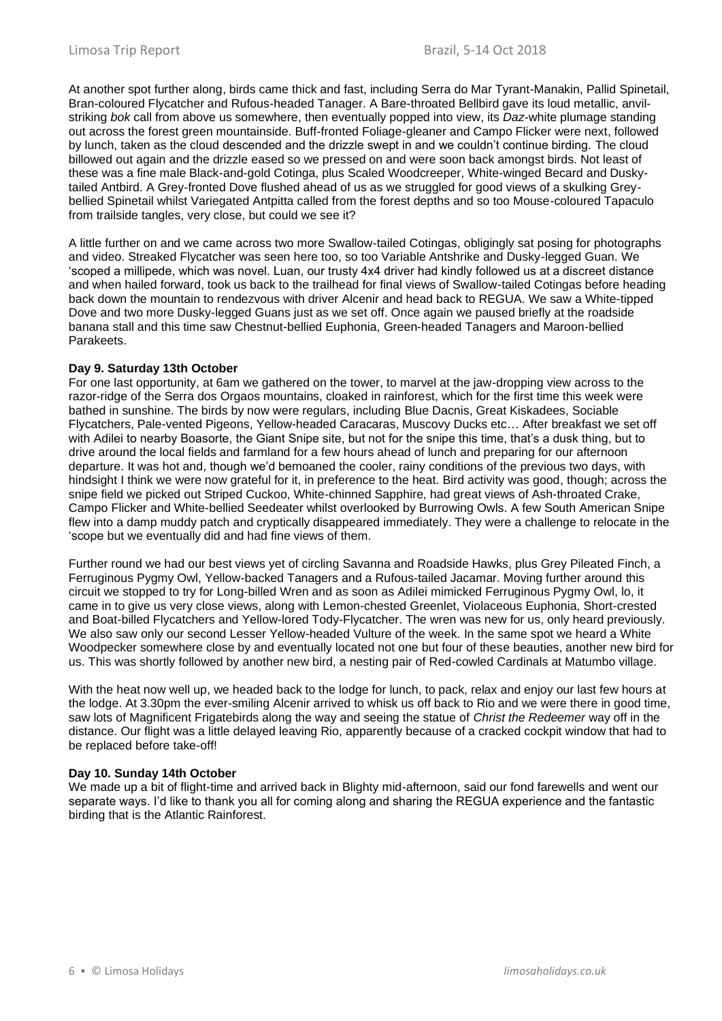At another spot further along, birds came thick and fast, including Serra do Mar Tyrant-Manakin, Pallid Spinetail, Bran-coloured Flycatcher and Rufous-headed Tanager. A Bare-throated Bellbird gave its loud metallic, anvilstriking *bok* call from above us somewhere, then eventually popped into view, its *Daz*-white plumage standing out across the forest green mountainside. Buff-fronted Foliage-gleaner and Campo Flicker were next, followed by lunch, taken as the cloud descended and the drizzle swept in and we couldn't continue birding. The cloud billowed out again and the drizzle eased so we pressed on and were soon back amongst birds. Not least of these was a fine male Black-and-gold Cotinga, plus Scaled Woodcreeper, White-winged Becard and Duskytailed Antbird. A Grey-fronted Dove flushed ahead of us as we struggled for good views of a skulking Greybellied Spinetail whilst Variegated Antpitta called from the forest depths and so too Mouse-coloured Tapaculo from trailside tangles, very close, but could we see it?

A little further on and we came across two more Swallow-tailed Cotingas, obligingly sat posing for photographs and video. Streaked Flycatcher was seen here too, so too Variable Antshrike and Dusky-legged Guan. We 'scoped a millipede, which was novel. Luan, our trusty 4x4 driver had kindly followed us at a discreet distance and when hailed forward, took us back to the trailhead for final views of Swallow-tailed Cotingas before heading back down the mountain to rendezvous with driver Alcenir and head back to REGUA. We saw a White-tipped Dove and two more Dusky-legged Guans just as we set off. Once again we paused briefly at the roadside banana stall and this time saw Chestnut-bellied Euphonia, Green-headed Tanagers and Maroon-bellied Parakeets.

#### **Day 9. Saturday 13th October**

For one last opportunity, at 6am we gathered on the tower, to marvel at the jaw-dropping view across to the razor-ridge of the Serra dos Orgaos mountains, cloaked in rainforest, which for the first time this week were bathed in sunshine. The birds by now were regulars, including Blue Dacnis, Great Kiskadees, Sociable Flycatchers, Pale-vented Pigeons, Yellow-headed Caracaras, Muscovy Ducks etc… After breakfast we set off with Adilei to nearby Boasorte, the Giant Snipe site, but not for the snipe this time, that's a dusk thing, but to drive around the local fields and farmland for a few hours ahead of lunch and preparing for our afternoon departure. It was hot and, though we'd bemoaned the cooler, rainy conditions of the previous two days, with hindsight I think we were now grateful for it, in preference to the heat. Bird activity was good, though; across the snipe field we picked out Striped Cuckoo, White-chinned Sapphire, had great views of Ash-throated Crake, Campo Flicker and White-bellied Seedeater whilst overlooked by Burrowing Owls. A few South American Snipe flew into a damp muddy patch and cryptically disappeared immediately. They were a challenge to relocate in the 'scope but we eventually did and had fine views of them.

Further round we had our best views yet of circling Savanna and Roadside Hawks, plus Grey Pileated Finch, a Ferruginous Pygmy Owl, Yellow-backed Tanagers and a Rufous-tailed Jacamar. Moving further around this circuit we stopped to try for Long-billed Wren and as soon as Adilei mimicked Ferruginous Pygmy Owl, lo, it came in to give us very close views, along with Lemon-chested Greenlet, Violaceous Euphonia, Short-crested and Boat-billed Flycatchers and Yellow-lored Tody-Flycatcher. The wren was new for us, only heard previously. We also saw only our second Lesser Yellow-headed Vulture of the week. In the same spot we heard a White Woodpecker somewhere close by and eventually located not one but four of these beauties, another new bird for us. This was shortly followed by another new bird, a nesting pair of Red-cowled Cardinals at Matumbo village.

With the heat now well up, we headed back to the lodge for lunch, to pack, relax and enjoy our last few hours at the lodge. At 3.30pm the ever-smiling Alcenir arrived to whisk us off back to Rio and we were there in good time, saw lots of Magnificent Frigatebirds along the way and seeing the statue of *Christ the Redeemer* way off in the distance. Our flight was a little delayed leaving Rio, apparently because of a cracked cockpit window that had to be replaced before take-off!

#### **Day 10. Sunday 14th October**

We made up a bit of flight-time and arrived back in Blighty mid-afternoon, said our fond farewells and went our separate ways. I'd like to thank you all for coming along and sharing the REGUA experience and the fantastic birding that is the Atlantic Rainforest.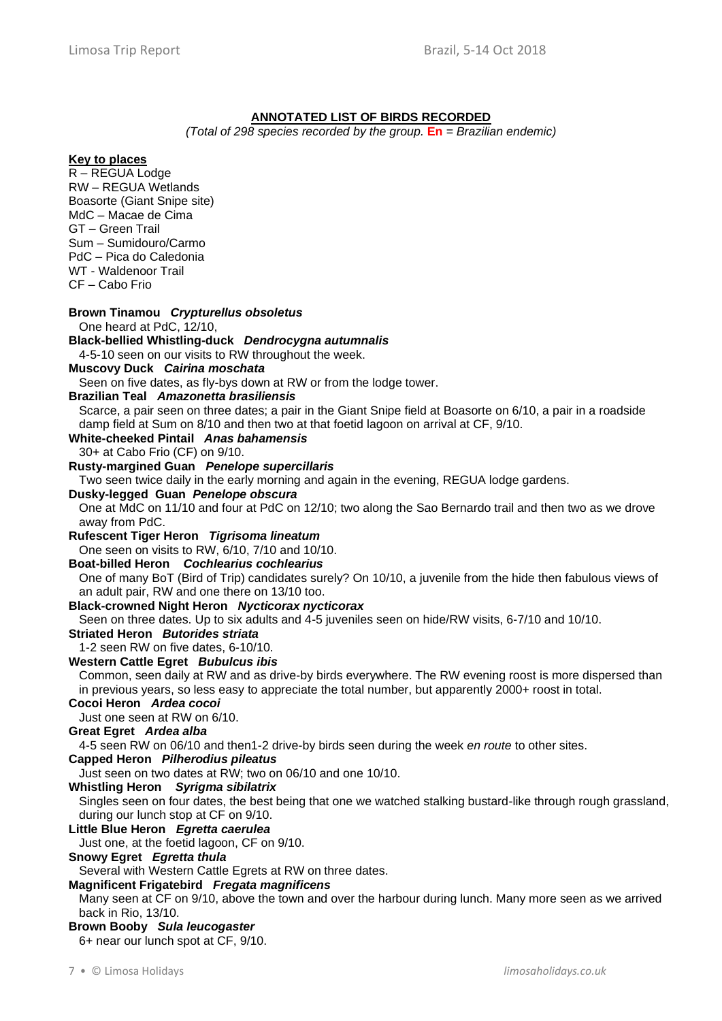### **ANNOTATED LIST OF BIRDS RECORDED**

*(Total of 298 species recorded by the group.* **En** *= Brazilian endemic)*

| <b>Key to places</b><br>R - REGUA Lodge<br><b>RW-REGUA Wetlands</b><br>Boasorte (Giant Snipe site)<br>MdC - Macae de Cima<br>GT - Green Trail<br>Sum - Sumidouro/Carmo<br>PdC - Pica do Caledonia<br>WT - Waldenoor Trail                       |
|-------------------------------------------------------------------------------------------------------------------------------------------------------------------------------------------------------------------------------------------------|
| CF - Cabo Frio                                                                                                                                                                                                                                  |
| <b>Brown Tinamou Crypturellus obsoletus</b><br>One heard at PdC, 12/10,<br>Black-bellied Whistling-duck Dendrocygna autumnalis                                                                                                                  |
| 4-5-10 seen on our visits to RW throughout the week.<br>Muscovy Duck Cairina moschata<br>Seen on five dates, as fly-bys down at RW or from the lodge tower.                                                                                     |
| Brazilian Teal Amazonetta brasiliensis<br>Scarce, a pair seen on three dates; a pair in the Giant Snipe field at Boasorte on 6/10, a pair in a roadside<br>damp field at Sum on 8/10 and then two at that foetid lagoon on arrival at CF, 9/10. |
| White-cheeked Pintail Anas bahamensis<br>30+ at Cabo Frio (CF) on 9/10.<br>Rusty-margined Guan Penelope supercillaris                                                                                                                           |
| Two seen twice daily in the early morning and again in the evening, REGUA lodge gardens.<br>Dusky-legged Guan Penelope obscura                                                                                                                  |
| One at MdC on 11/10 and four at PdC on 12/10; two along the Sao Bernardo trail and then two as we drove<br>away from PdC.<br>Rufescent Tiger Heron Tigrisoma lineatum                                                                           |
| One seen on visits to RW, 6/10, 7/10 and 10/10.<br>Boat-billed Heron Cochlearius cochlearius<br>One of many BoT (Bird of Trip) candidates surely? On 10/10, a juvenile from the hide then fabulous views of                                     |
| an adult pair, RW and one there on 13/10 too.<br>Black-crowned Night Heron Nycticorax nycticorax<br>Seen on three dates. Up to six adults and 4-5 juveniles seen on hide/RW visits, 6-7/10 and 10/10.                                           |
| <b>Striated Heron</b> Butorides striata<br>1-2 seen RW on five dates, 6-10/10.<br><b>Western Cattle Egret Bubulcus ibis</b>                                                                                                                     |
| Common, seen daily at RW and as drive-by birds everywhere. The RW evening roost is more dispersed than<br>in previous years, so less easy to appreciate the total number, but apparently 2000+ roost in total.                                  |
| Cocoi Heron Ardea cocoi<br>Just one seen at RW on 6/10.<br>Great Egret Ardea alba                                                                                                                                                               |
| 4-5 seen RW on 06/10 and then1-2 drive-by birds seen during the week en route to other sites.<br>Capped Heron Pilherodius pileatus<br>Just seen on two dates at RW; two on 06/10 and one 10/10.                                                 |
| Whistling Heron Syrigma sibilatrix<br>Singles seen on four dates, the best being that one we watched stalking bustard-like through rough grassland,<br>during our lunch stop at CF on 9/10.                                                     |
| Little Blue Heron Egretta caerulea<br>Just one, at the foetid lagoon, CF on 9/10.<br>Snowy Egret Egretta thula                                                                                                                                  |
| Several with Western Cattle Egrets at RW on three dates.<br>Magnificent Frigatebird Fregata magnificens<br>Many seen at CF on 9/10, above the town and over the harbour during lunch. Many more seen as we arrived                              |
| back in Rio, 13/10.<br>Brown Booby Sula leucogaster<br>6+ near our lunch spot at CF, 9/10.                                                                                                                                                      |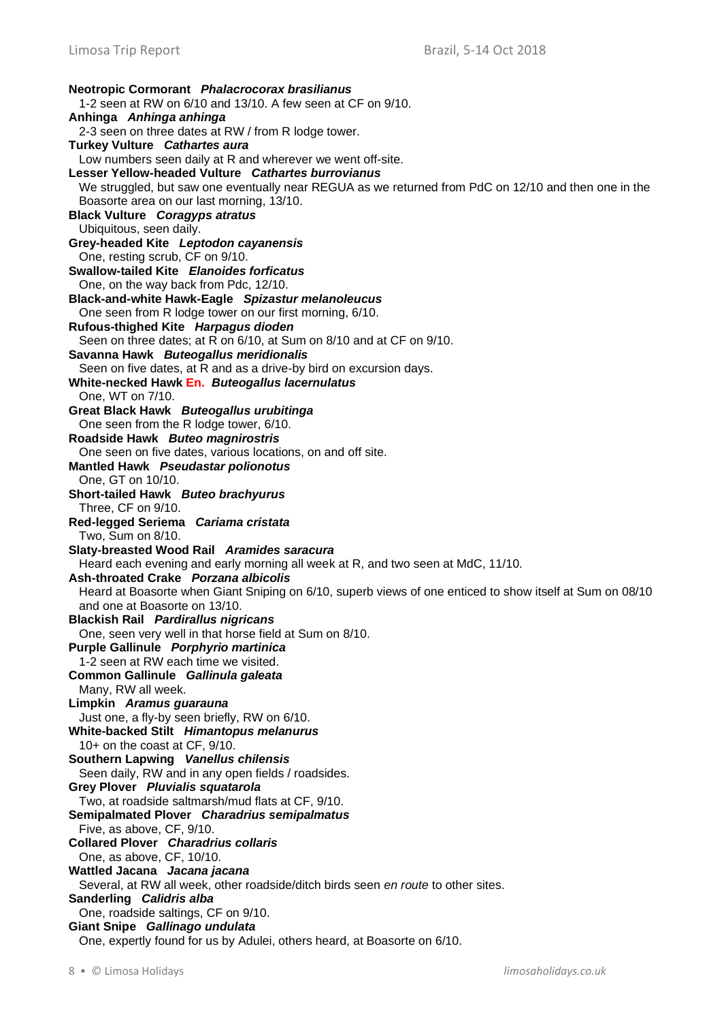**Neotropic Cormorant** *Phalacrocorax brasilianus* 1-2 seen at RW on 6/10 and 13/10. A few seen at CF on 9/10. **Anhinga** *Anhinga anhinga* 2-3 seen on three dates at RW / from R lodge tower. **Turkey Vulture** *Cathartes aura* Low numbers seen daily at R and wherever we went off-site. **Lesser Yellow-headed Vulture** *Cathartes burrovianus* We struggled, but saw one eventually near REGUA as we returned from PdC on 12/10 and then one in the Boasorte area on our last morning, 13/10. **Black Vulture** *Coragyps atratus* Ubiquitous, seen daily. **Grey-headed Kite** *Leptodon cayanensis* One, resting scrub, CF on 9/10. **Swallow-tailed Kite** *Elanoides forficatus* One, on the way back from Pdc, 12/10. **Black-and-white Hawk-Eagle** *Spizastur melanoleucus* One seen from R lodge tower on our first morning, 6/10. **Rufous-thighed Kite** *Harpagus dioden* Seen on three dates; at R on 6/10, at Sum on 8/10 and at CF on 9/10. **Savanna Hawk** *Buteogallus meridionalis* Seen on five dates, at R and as a drive-by bird on excursion days. **White-necked Hawk En.** *Buteogallus lacernulatus* One, WT on 7/10. **Great Black Hawk** *Buteogallus urubitinga* One seen from the R lodge tower, 6/10. **Roadside Hawk** *Buteo magnirostris* One seen on five dates, various locations, on and off site. **Mantled Hawk** *Pseudastar polionotus* One, GT on 10/10. **Short-tailed Hawk** *Buteo brachyurus* Three, CF on 9/10. **Red-legged Seriema** *Cariama cristata* Two, Sum on 8/10. **Slaty-breasted Wood Rail** *Aramides saracura* Heard each evening and early morning all week at R, and two seen at MdC, 11/10. **Ash-throated Crake** *Porzana albicolis* Heard at Boasorte when Giant Sniping on 6/10, superb views of one enticed to show itself at Sum on 08/10 and one at Boasorte on 13/10. **Blackish Rail** *Pardirallus nigricans* One, seen very well in that horse field at Sum on 8/10. **Purple Gallinule** *Porphyrio martinica* 1-2 seen at RW each time we visited. **Common Gallinule** *Gallinula galeata* Many, RW all week. **Limpkin** *Aramus guarauna* Just one, a fly-by seen briefly, RW on 6/10. **White-backed Stilt** *Himantopus melanurus* 10+ on the coast at CF, 9/10. **Southern Lapwing** *Vanellus chilensis* Seen daily, RW and in any open fields / roadsides. **Grey Plover** *Pluvialis squatarola* Two, at roadside saltmarsh/mud flats at CF, 9/10. **Semipalmated Plover** *Charadrius semipalmatus* Five, as above, CF, 9/10. **Collared Plover** *Charadrius collaris* One, as above, CF, 10/10. **Wattled Jacana** *Jacana jacana* Several, at RW all week, other roadside/ditch birds seen *en route* to other sites. **Sanderling** *Calidris alba* One, roadside saltings, CF on 9/10. **Giant Snipe** *Gallinago undulata* One, expertly found for us by Adulei, others heard, at Boasorte on 6/10.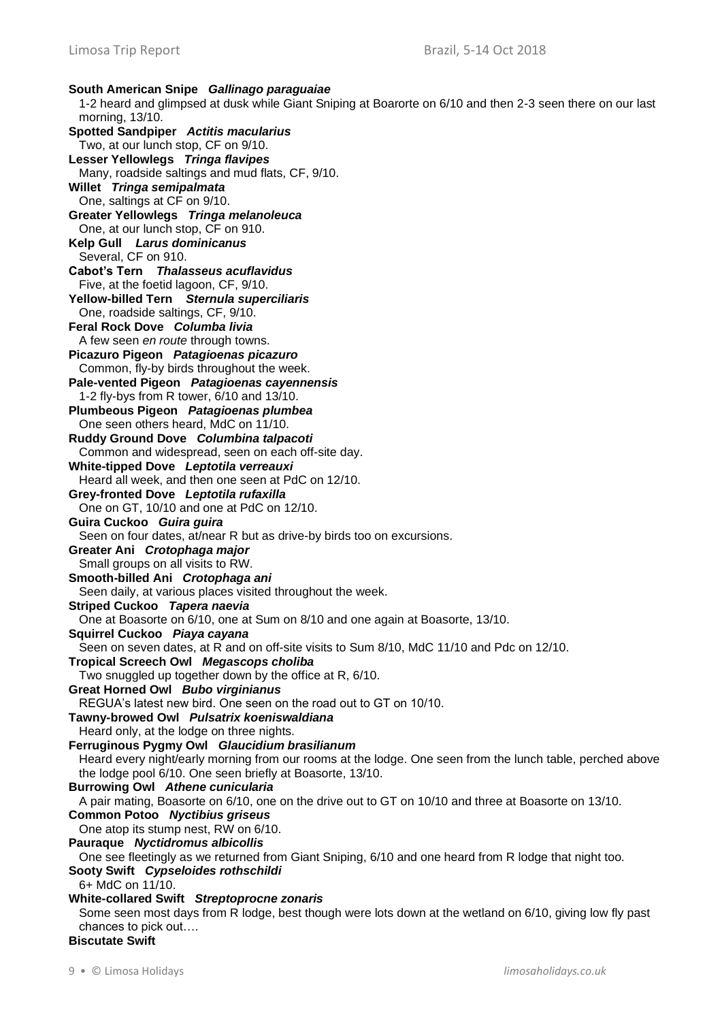**South American Snipe** *Gallinago paraguaiae* 1-2 heard and glimpsed at dusk while Giant Sniping at Boarorte on 6/10 and then 2-3 seen there on our last morning, 13/10. **Spotted Sandpiper** *Actitis macularius* Two, at our lunch stop, CF on 9/10. **Lesser Yellowlegs** *Tringa flavipes* Many, roadside saltings and mud flats, CF, 9/10. **Willet** *Tringa semipalmata* One, saltings at CF on 9/10. **Greater Yellowlegs** *Tringa melanoleuca* One, at our lunch stop, CF on 910. **Kelp Gull** *Larus dominicanus* Several, CF on 910. **Cabot's Tern** *Thalasseus acuflavidus* Five, at the foetid lagoon, CF, 9/10. **Yellow-billed Tern** *Sternula superciliaris* One, roadside saltings, CF, 9/10. **Feral Rock Dove** *Columba livia* A few seen *en route* through towns. **Picazuro Pigeon** *Patagioenas picazuro* Common, fly-by birds throughout the week. **Pale-vented Pigeon** *Patagioenas cayennensis* 1-2 fly-bys from R tower, 6/10 and 13/10. **Plumbeous Pigeon** *Patagioenas plumbea* One seen others heard, MdC on 11/10. **Ruddy Ground Dove** *Columbina talpacoti* Common and widespread, seen on each off-site day. **White-tipped Dove** *Leptotila verreauxi* Heard all week, and then one seen at PdC on 12/10. **Grey-fronted Dove** *Leptotila rufaxilla* One on GT, 10/10 and one at PdC on 12/10. **Guira Cuckoo** *Guira guira* Seen on four dates, at/near R but as drive-by birds too on excursions. **Greater Ani** *Crotophaga major* Small groups on all visits to RW. **Smooth-billed Ani** *Crotophaga ani* Seen daily, at various places visited throughout the week. **Striped Cuckoo** *Tapera naevia* One at Boasorte on 6/10, one at Sum on 8/10 and one again at Boasorte, 13/10. **Squirrel Cuckoo** *Piaya cayana* Seen on seven dates, at R and on off-site visits to Sum 8/10, MdC 11/10 and Pdc on 12/10. **Tropical Screech Owl** *Megascops choliba* Two snuggled up together down by the office at R, 6/10. **Great Horned Owl** *Bubo virginianus* REGUA's latest new bird. One seen on the road out to GT on 10/10. **Tawny-browed Owl** *Pulsatrix koeniswaldiana* Heard only, at the lodge on three nights. **Ferruginous Pygmy Owl** *Glaucidium brasilianum* Heard every night/early morning from our rooms at the lodge. One seen from the lunch table, perched above the lodge pool 6/10. One seen briefly at Boasorte, 13/10. **Burrowing Owl** *Athene cunicularia* A pair mating, Boasorte on 6/10, one on the drive out to GT on 10/10 and three at Boasorte on 13/10. **Common Potoo** *Nyctibius griseus* One atop its stump nest, RW on 6/10. **Pauraque** *Nyctidromus albicollis* One see fleetingly as we returned from Giant Sniping, 6/10 and one heard from R lodge that night too. **Sooty Swift** *Cypseloides rothschildi* 6+ MdC on 11/10. **White-collared Swift** *Streptoprocne zonaris* Some seen most days from R lodge, best though were lots down at the wetland on 6/10, giving low fly past chances to pick out…. **Biscutate Swift**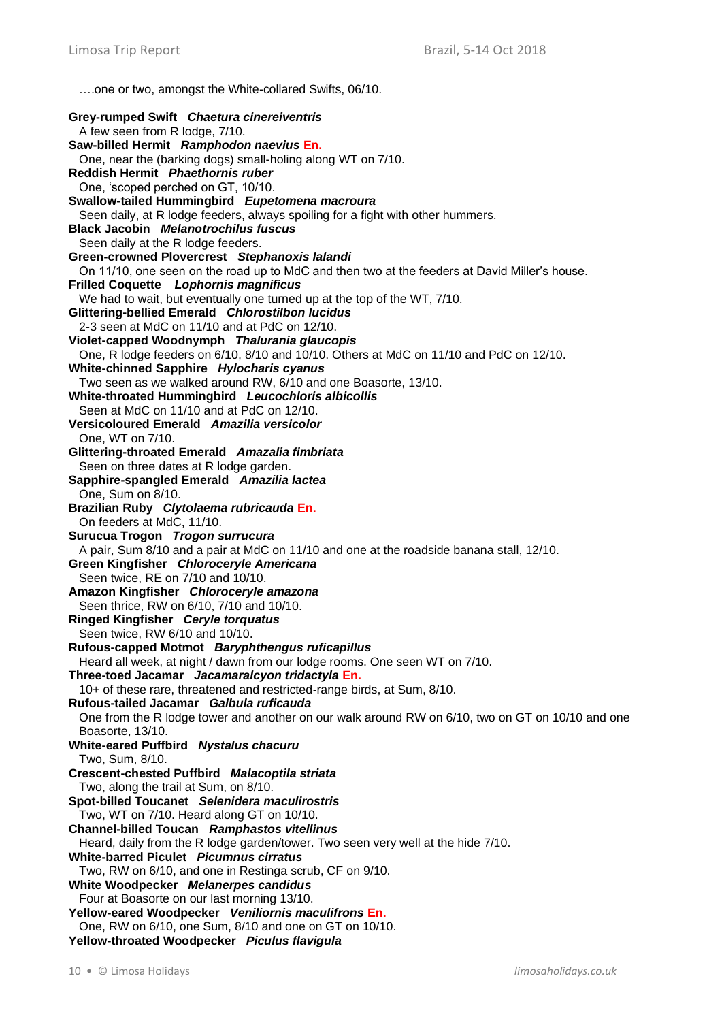….one or two, amongst the White-collared Swifts, 06/10.

**Grey-rumped Swift** *Chaetura cinereiventris* A few seen from R lodge, 7/10. **Saw-billed Hermit** *Ramphodon naevius* **En.** One, near the (barking dogs) small-holing along WT on 7/10. **Reddish Hermit** *Phaethornis ruber* One, 'scoped perched on GT, 10/10. **Swallow-tailed Hummingbird** *Eupetomena macroura* Seen daily, at R lodge feeders, always spoiling for a fight with other hummers. **Black Jacobin** *Melanotrochilus fuscus* Seen daily at the R lodge feeders. **Green-crowned Plovercrest** *Stephanoxis lalandi* On 11/10, one seen on the road up to MdC and then two at the feeders at David Miller's house. **Frilled Coquette** *Lophornis magnificus* We had to wait, but eventually one turned up at the top of the WT, 7/10. **Glittering-bellied Emerald** *Chlorostilbon lucidus* 2-3 seen at MdC on 11/10 and at PdC on 12/10. **Violet-capped Woodnymph** *Thalurania glaucopis* One, R lodge feeders on 6/10, 8/10 and 10/10. Others at MdC on 11/10 and PdC on 12/10. **White-chinned Sapphire** *Hylocharis cyanus* Two seen as we walked around RW, 6/10 and one Boasorte, 13/10. **White-throated Hummingbird** *Leucochloris albicollis* Seen at MdC on 11/10 and at PdC on 12/10. **Versicoloured Emerald** *Amazilia versicolor* One, WT on 7/10. **Glittering-throated Emerald** *Amazalia fimbriata* Seen on three dates at R lodge garden. **Sapphire-spangled Emerald** *Amazilia lactea* One, Sum on 8/10. **Brazilian Ruby** *Clytolaema rubricauda* **En.** On feeders at MdC, 11/10. **Surucua Trogon** *Trogon surrucura* A pair, Sum 8/10 and a pair at MdC on 11/10 and one at the roadside banana stall, 12/10. **Green Kingfisher** *Chloroceryle Americana* Seen twice, RE on 7/10 and 10/10. **Amazon Kingfisher** *Chloroceryle amazona* Seen thrice, RW on 6/10, 7/10 and 10/10. **Ringed Kingfisher** *Ceryle torquatus* Seen twice, RW 6/10 and 10/10. **Rufous-capped Motmot** *Baryphthengus ruficapillus* Heard all week, at night / dawn from our lodge rooms. One seen WT on 7/10. **Three-toed Jacamar** *Jacamaralcyon tridactyla* **En.** 10+ of these rare, threatened and restricted-range birds, at Sum, 8/10. **Rufous-tailed Jacamar** *Galbula ruficauda* One from the R lodge tower and another on our walk around RW on 6/10, two on GT on 10/10 and one Boasorte, 13/10. **White-eared Puffbird** *Nystalus chacuru* Two, Sum, 8/10. **Crescent-chested Puffbird** *Malacoptila striata* Two, along the trail at Sum, on 8/10. **Spot-billed Toucanet** *Selenidera maculirostris* Two, WT on 7/10. Heard along GT on 10/10. **Channel-billed Toucan** *Ramphastos vitellinus* Heard, daily from the R lodge garden/tower. Two seen very well at the hide 7/10. **White-barred Piculet** *Picumnus cirratus* Two, RW on 6/10, and one in Restinga scrub, CF on 9/10. **White Woodpecker** *Melanerpes candidus* Four at Boasorte on our last morning 13/10. **Yellow-eared Woodpecker** *Veniliornis maculifrons* **En.** One, RW on 6/10, one Sum, 8/10 and one on GT on 10/10. **Yellow-throated Woodpecker** *Piculus flavigula*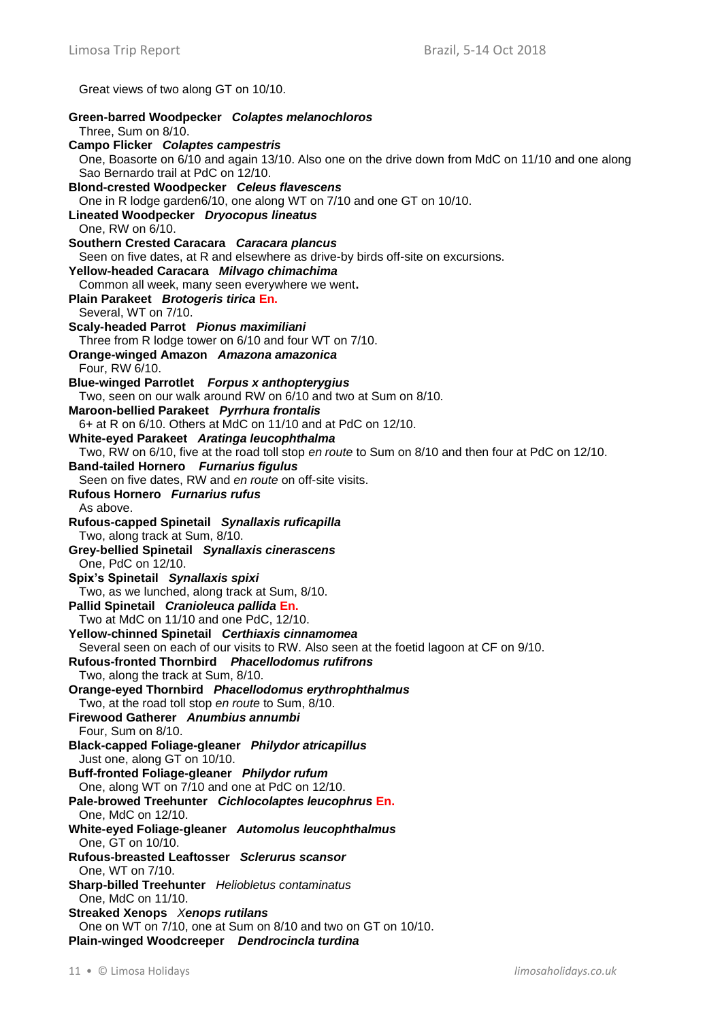Great views of two along GT on 10/10.

**Green-barred Woodpecker** *Colaptes melanochloros* Three, Sum on 8/10. **Campo Flicker** *Colaptes campestris* One, Boasorte on 6/10 and again 13/10. Also one on the drive down from MdC on 11/10 and one along Sao Bernardo trail at PdC on 12/10. **Blond-crested Woodpecker** *Celeus flavescens* One in R lodge garden6/10, one along WT on 7/10 and one GT on 10/10. **Lineated Woodpecker** *Dryocopus lineatus* One, RW on 6/10. **Southern Crested Caracara** *Caracara plancus* Seen on five dates, at R and elsewhere as drive-by birds off-site on excursions. **Yellow-headed Caracara** *Milvago chimachima* Common all week, many seen everywhere we went**. Plain Parakeet** *Brotogeris tirica* **En.** Several, WT on 7/10. **Scaly-headed Parrot** *Pionus maximiliani* Three from R lodge tower on 6/10 and four WT on 7/10. **Orange-winged Amazon** *Amazona amazonica* Four, RW 6/10. **Blue-winged Parrotlet** *Forpus x anthopterygius* Two, seen on our walk around RW on 6/10 and two at Sum on 8/10. **Maroon-bellied Parakeet** *Pyrrhura frontalis* 6+ at R on 6/10. Others at MdC on 11/10 and at PdC on 12/10. **White-eyed Parakeet** *Aratinga leucophthalma* Two, RW on 6/10, five at the road toll stop *en route* to Sum on 8/10 and then four at PdC on 12/10. **Band-tailed Hornero** *Furnarius figulus* Seen on five dates, RW and *en route* on off-site visits. **Rufous Hornero** *Furnarius rufus* As above. **Rufous-capped Spinetail** *Synallaxis ruficapilla* Two, along track at Sum, 8/10. **Grey-bellied Spinetail** *Synallaxis cinerascens* One, PdC on 12/10. **Spix's Spinetail** *Synallaxis spixi* Two, as we lunched, along track at Sum, 8/10. **Pallid Spinetail** *Cranioleuca pallida* **En.** Two at MdC on 11/10 and one PdC, 12/10. **Yellow-chinned Spinetail** *Certhiaxis cinnamomea* Several seen on each of our visits to RW. Also seen at the foetid lagoon at CF on 9/10. **Rufous-fronted Thornbird** *Phacellodomus rufifrons* Two, along the track at Sum, 8/10. **Orange-eyed Thornbird** *Phacellodomus erythrophthalmus* Two, at the road toll stop *en route* to Sum, 8/10. **Firewood Gatherer** *Anumbius annumbi* Four, Sum on 8/10. **Black-capped Foliage-gleaner** *Philydor atricapillus* Just one, along GT on 10/10. **Buff-fronted Foliage-gleaner** *Philydor rufum* One, along WT on 7/10 and one at PdC on 12/10. **Pale-browed Treehunter** *Cichlocolaptes leucophrus* **En.** One, MdC on 12/10. **White-eyed Foliage-gleaner** *Automolus leucophthalmus* One, GT on 10/10. **Rufous-breasted Leaftosser** *Sclerurus scansor* One, WT on 7/10. **Sharp-billed Treehunter** *Heliobletus contaminatus* One, MdC on 11/10. **Streaked Xenops** *Xenops rutilans* One on WT on 7/10, one at Sum on 8/10 and two on GT on 10/10. **Plain-winged Woodcreeper** *Dendrocincla turdina*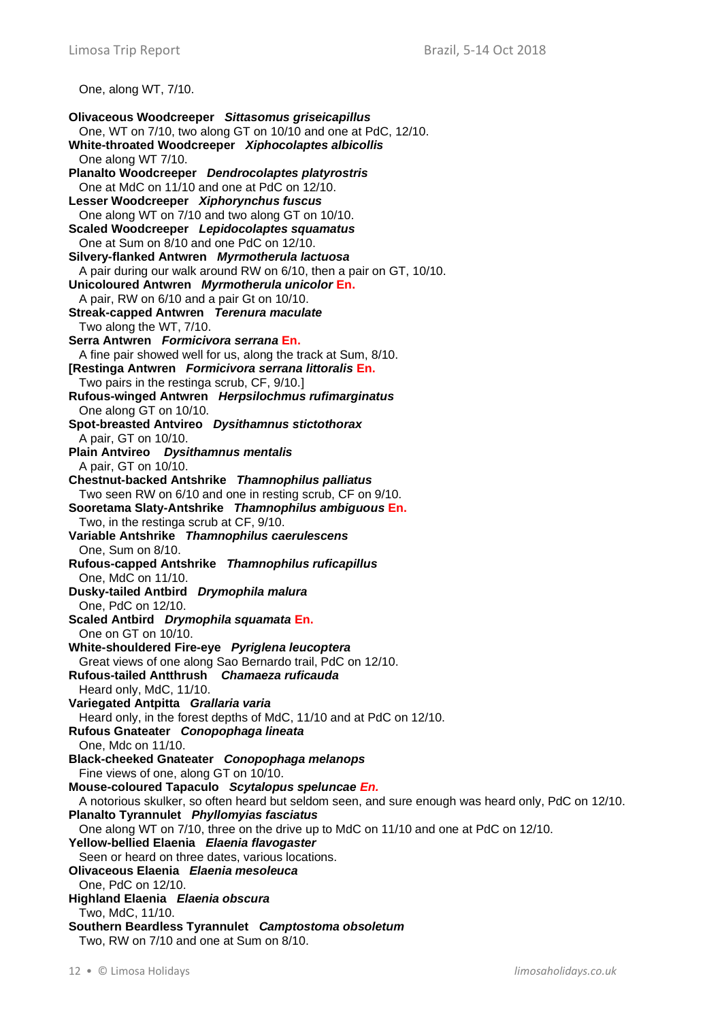#### One, along WT, 7/10.

**Olivaceous Woodcreeper** *Sittasomus griseicapillus* One, WT on 7/10, two along GT on 10/10 and one at PdC, 12/10. **White-throated Woodcreeper** *Xiphocolaptes albicollis* One along WT 7/10. **Planalto Woodcreeper** *Dendrocolaptes platyrostris* One at MdC on 11/10 and one at PdC on 12/10. **Lesser Woodcreeper** *Xiphorynchus fuscus* One along WT on 7/10 and two along GT on 10/10. **Scaled Woodcreeper** *Lepidocolaptes squamatus* One at Sum on 8/10 and one PdC on 12/10. **Silvery-flanked Antwren** *Myrmotherula lactuosa* A pair during our walk around RW on 6/10, then a pair on GT, 10/10. **Unicoloured Antwren** *Myrmotherula unicolor* **En.** A pair, RW on 6/10 and a pair Gt on 10/10. **Streak-capped Antwren** *Terenura maculate* Two along the WT, 7/10. **Serra Antwren** *Formicivora serrana* **En.** A fine pair showed well for us, along the track at Sum, 8/10. **[Restinga Antwren** *Formicivora serrana littoralis* **En.** Two pairs in the restinga scrub, CF, 9/10.] **Rufous-winged Antwren** *Herpsilochmus rufimarginatus* One along GT on 10/10. **Spot-breasted Antvireo** *Dysithamnus stictothorax* A pair, GT on 10/10. **Plain Antvireo** *Dysithamnus mentalis* A pair, GT on 10/10. **Chestnut-backed Antshrike** *Thamnophilus palliatus* Two seen RW on 6/10 and one in resting scrub, CF on 9/10. **Sooretama Slaty-Antshrike** *Thamnophilus ambiguous* **En.** Two, in the restinga scrub at CF, 9/10. **Variable Antshrike** *Thamnophilus caerulescens* One, Sum on 8/10. **Rufous-capped Antshrike** *Thamnophilus ruficapillus* One, MdC on 11/10. **Dusky-tailed Antbird** *Drymophila malura* One, PdC on 12/10. **Scaled Antbird** *Drymophila squamata* **En.** One on GT on 10/10. **White-shouldered Fire-eye** *Pyriglena leucoptera* Great views of one along Sao Bernardo trail, PdC on 12/10. **Rufous-tailed Antthrush** *Chamaeza ruficauda* Heard only, MdC, 11/10. **Variegated Antpitta** *Grallaria varia* Heard only, in the forest depths of MdC, 11/10 and at PdC on 12/10. **Rufous Gnateater** *Conopophaga lineata* One, Mdc on 11/10. **Black-cheeked Gnateater** *Conopophaga melanops* Fine views of one, along GT on 10/10. **Mouse-coloured Tapaculo** *Scytalopus speluncae En.* A notorious skulker, so often heard but seldom seen, and sure enough was heard only, PdC on 12/10. **Planalto Tyrannulet** *Phyllomyias fasciatus* One along WT on 7/10, three on the drive up to MdC on 11/10 and one at PdC on 12/10. **Yellow-bellied Elaenia** *Elaenia flavogaster* Seen or heard on three dates, various locations. **Olivaceous Elaenia** *Elaenia mesoleuca* One, PdC on 12/10. **Highland Elaenia** *Elaenia obscura* Two, MdC, 11/10. **Southern Beardless Tyrannulet** *Camptostoma obsoletum* Two, RW on 7/10 and one at Sum on 8/10.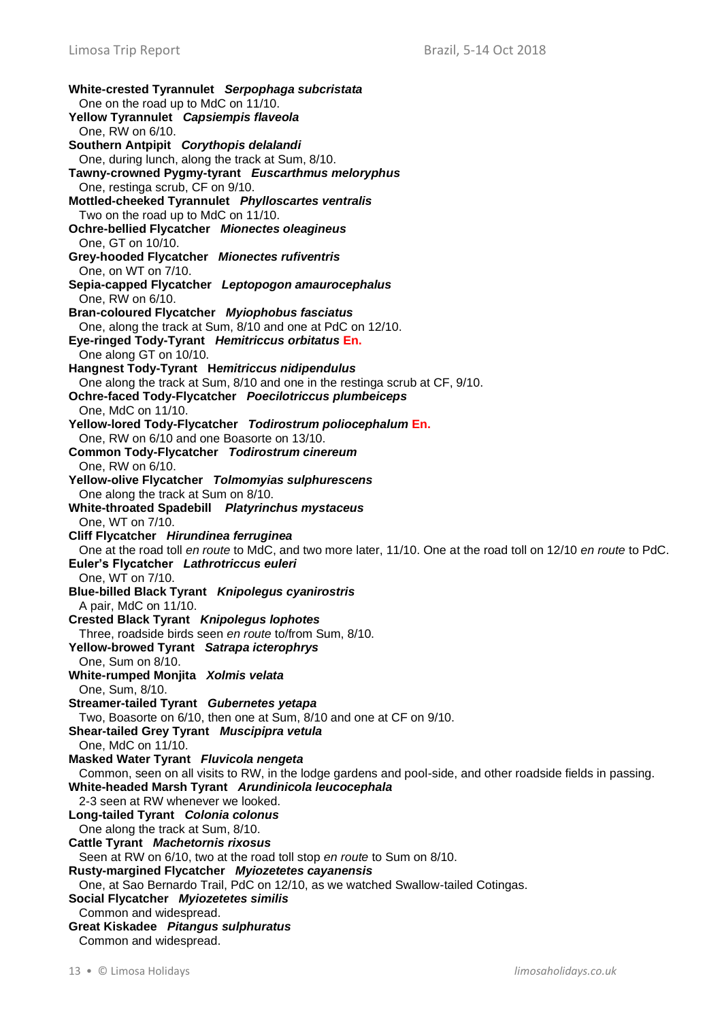**White-crested Tyrannulet** *Serpophaga subcristata* One on the road up to MdC on 11/10. **Yellow Tyrannulet** *Capsiempis flaveola* One, RW on 6/10. **Southern Antpipit** *Corythopis delalandi* One, during lunch, along the track at Sum, 8/10. **Tawny-crowned Pygmy-tyrant** *Euscarthmus meloryphus* One, restinga scrub, CF on 9/10. **Mottled-cheeked Tyrannulet** *Phylloscartes ventralis* Two on the road up to MdC on 11/10. **Ochre-bellied Flycatcher** *Mionectes oleagineus* One, GT on 10/10. **Grey-hooded Flycatcher** *Mionectes rufiventris* One, on WT on 7/10. **Sepia-capped Flycatcher** *Leptopogon amaurocephalus* One, RW on 6/10. **Bran-coloured Flycatcher** *Myiophobus fasciatus* One, along the track at Sum, 8/10 and one at PdC on 12/10. **Eye-ringed Tody-Tyrant** *Hemitriccus orbitatus* **En.** One along GT on 10/10. **Hangnest Tody-Tyrant H***emitriccus nidipendulus* One along the track at Sum, 8/10 and one in the restinga scrub at CF, 9/10. **Ochre-faced Tody-Flycatcher** *Poecilotriccus plumbeiceps* One, MdC on 11/10. **Yellow-lored Tody-Flycatcher** *Todirostrum poliocephalum* **En.** One, RW on 6/10 and one Boasorte on 13/10. **Common Tody-Flycatcher** *Todirostrum cinereum* One, RW on 6/10. **Yellow-olive Flycatcher** *Tolmomyias sulphurescens* One along the track at Sum on 8/10. **White-throated Spadebill** *Platyrinchus mystaceus* One, WT on 7/10. **Cliff Flycatcher** *Hirundinea ferruginea* One at the road toll *en route* to MdC, and two more later, 11/10. One at the road toll on 12/10 *en route* to PdC. **Euler's Flycatcher** *Lathrotriccus euleri* One, WT on 7/10. **Blue-billed Black Tyrant** *Knipolegus cyanirostris* A pair, MdC on 11/10. **Crested Black Tyrant** *Knipolegus lophotes* Three, roadside birds seen *en route* to/from Sum, 8/10. **Yellow-browed Tyrant** *Satrapa icterophrys* One, Sum on 8/10. **White-rumped Monjita** *Xolmis velata* One, Sum, 8/10. **Streamer-tailed Tyrant** *Gubernetes yetapa* Two, Boasorte on 6/10, then one at Sum, 8/10 and one at CF on 9/10. **Shear-tailed Grey Tyrant** *Muscipipra vetula* One, MdC on 11/10. **Masked Water Tyrant** *Fluvicola nengeta* Common, seen on all visits to RW, in the lodge gardens and pool-side, and other roadside fields in passing. **White-headed Marsh Tyrant** *Arundinicola leucocephala* 2-3 seen at RW whenever we looked. **Long-tailed Tyrant** *Colonia colonus* One along the track at Sum, 8/10. **Cattle Tyrant** *Machetornis rixosus* Seen at RW on 6/10, two at the road toll stop *en route* to Sum on 8/10. **Rusty-margined Flycatcher** *Myiozetetes cayanensis* One, at Sao Bernardo Trail, PdC on 12/10, as we watched Swallow-tailed Cotingas. **Social Flycatcher** *Myiozetetes similis* Common and widespread. **Great Kiskadee** *Pitangus sulphuratus* Common and widespread.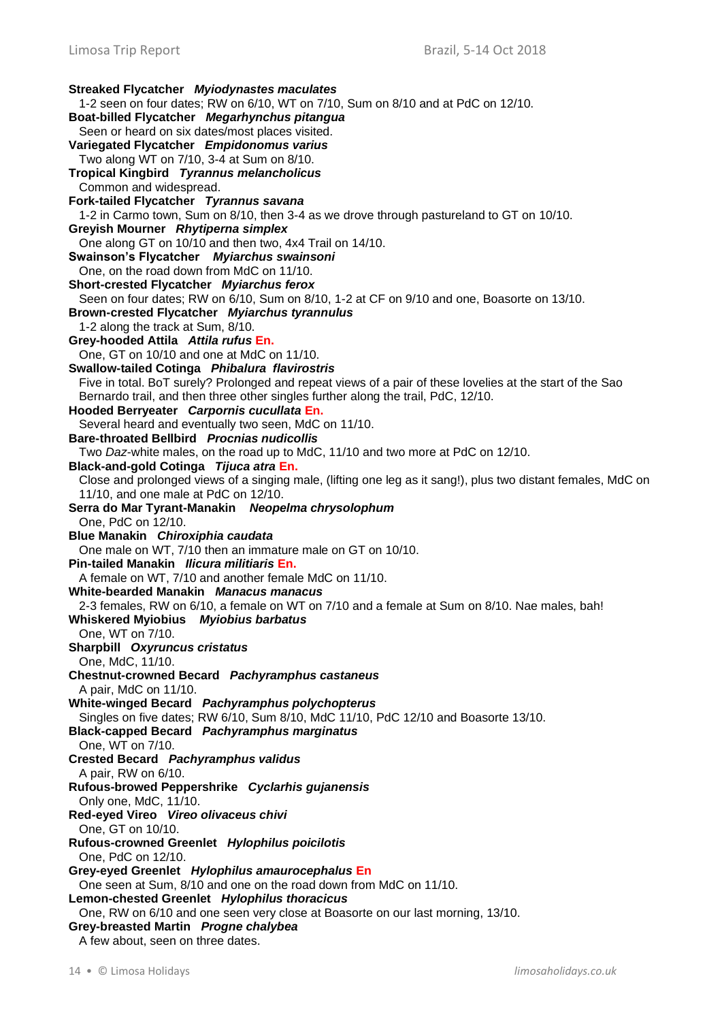**Streaked Flycatcher** *Myiodynastes maculates* 1-2 seen on four dates; RW on 6/10, WT on 7/10, Sum on 8/10 and at PdC on 12/10. **Boat-billed Flycatcher** *Megarhynchus pitangua* Seen or heard on six dates/most places visited. **Variegated Flycatcher** *Empidonomus varius* Two along WT on 7/10, 3-4 at Sum on 8/10. **Tropical Kingbird** *Tyrannus melancholicus* Common and widespread. **Fork-tailed Flycatcher** *Tyrannus savana* 1-2 in Carmo town, Sum on 8/10, then 3-4 as we drove through pastureland to GT on 10/10. **Greyish Mourner** *Rhytiperna simplex* One along GT on 10/10 and then two, 4x4 Trail on 14/10. **Swainson's Flycatcher** *Myiarchus swainsoni* One, on the road down from MdC on 11/10. **Short-crested Flycatcher** *Myiarchus ferox*  Seen on four dates; RW on 6/10, Sum on 8/10, 1-2 at CF on 9/10 and one, Boasorte on 13/10. **Brown-crested Flycatcher** *Myiarchus tyrannulus* 1-2 along the track at Sum, 8/10. **Grey-hooded Attila** *Attila rufus* **En.** One, GT on 10/10 and one at MdC on 11/10. **Swallow-tailed Cotinga** *Phibalura flavirostris* Five in total. BoT surely? Prolonged and repeat views of a pair of these lovelies at the start of the Sao Bernardo trail, and then three other singles further along the trail, PdC, 12/10. **Hooded Berryeater** *Carpornis cucullata* **En.** Several heard and eventually two seen, MdC on 11/10. **Bare-throated Bellbird** *Procnias nudicollis* Two *Daz*-white males, on the road up to MdC, 11/10 and two more at PdC on 12/10. **Black-and-gold Cotinga** *Tijuca atra* **En.** Close and prolonged views of a singing male, (lifting one leg as it sang!), plus two distant females, MdC on 11/10, and one male at PdC on 12/10. **Serra do Mar Tyrant-Manakin** *Neopelma chrysolophum* One, PdC on 12/10. **Blue Manakin** *Chiroxiphia caudata* One male on WT, 7/10 then an immature male on GT on 10/10. **Pin-tailed Manakin** *Ilicura militiaris* **En.** A female on WT, 7/10 and another female MdC on 11/10. **White-bearded Manakin** *Manacus manacus* 2-3 females, RW on 6/10, a female on WT on 7/10 and a female at Sum on 8/10. Nae males, bah! **Whiskered Myiobius** *Myiobius barbatus* One, WT on 7/10. **Sharpbill** *Oxyruncus cristatus* One, MdC, 11/10. **Chestnut-crowned Becard** *Pachyramphus castaneus* A pair, MdC on 11/10. **White-winged Becard** *Pachyramphus polychopterus* Singles on five dates; RW 6/10, Sum 8/10, MdC 11/10, PdC 12/10 and Boasorte 13/10. **Black-capped Becard** *Pachyramphus marginatus* One, WT on 7/10. **Crested Becard** *Pachyramphus validus* A pair, RW on 6/10. **Rufous-browed Peppershrike** *Cyclarhis gujanensis* Only one, MdC, 11/10. **Red-eyed Vireo** *Vireo olivaceus chivi* One, GT on 10/10. **Rufous-crowned Greenlet** *Hylophilus poicilotis* One, PdC on 12/10. **Grey-eyed Greenlet** *Hylophilus amaurocephalus* **En** One seen at Sum, 8/10 and one on the road down from MdC on 11/10. **Lemon-chested Greenlet** *Hylophilus thoracicus* One, RW on 6/10 and one seen very close at Boasorte on our last morning, 13/10. **Grey-breasted Martin** *Progne chalybea* A few about, seen on three dates.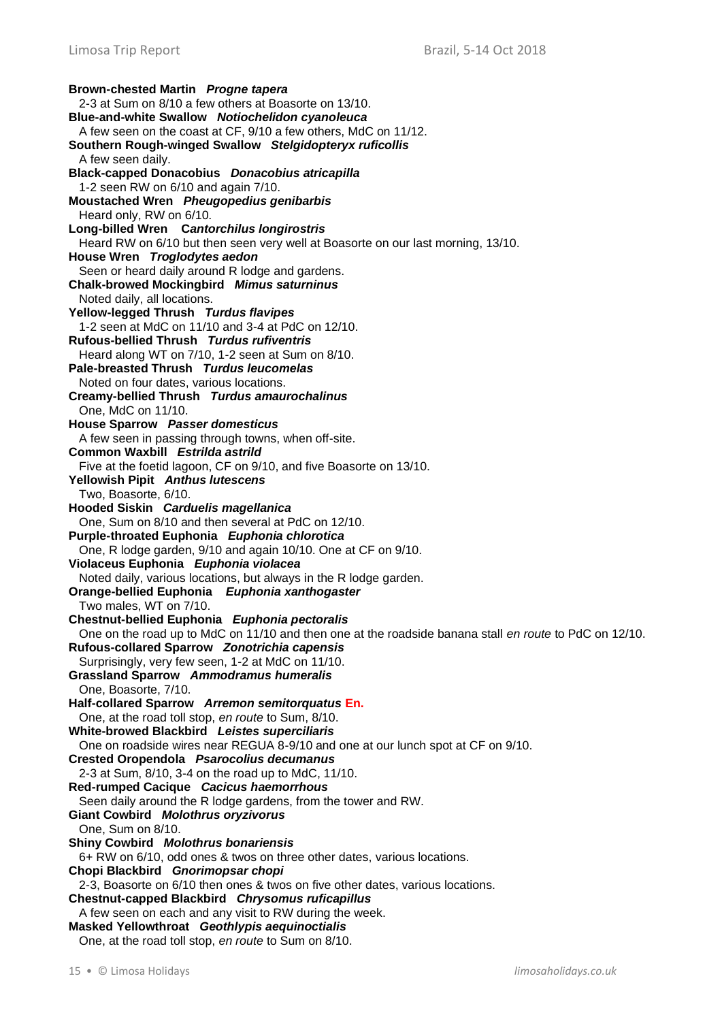**Brown-chested Martin** *Progne tapera* 2-3 at Sum on 8/10 a few others at Boasorte on 13/10. **Blue-and-white Swallow** *Notiochelidon cyanoleuca* A few seen on the coast at CF, 9/10 a few others, MdC on 11/12. **Southern Rough-winged Swallow** *Stelgidopteryx ruficollis* A few seen daily. **Black-capped Donacobius** *Donacobius atricapilla* 1-2 seen RW on 6/10 and again 7/10. **Moustached Wren** *Pheugopedius genibarbis* Heard only, RW on 6/10. **Long-billed Wren C***antorchilus longirostris* Heard RW on 6/10 but then seen very well at Boasorte on our last morning, 13/10. **House Wren** *Troglodytes aedon* Seen or heard daily around R lodge and gardens. **Chalk-browed Mockingbird** *Mimus saturninus* Noted daily, all locations. **Yellow-legged Thrush** *Turdus flavipes* 1-2 seen at MdC on 11/10 and 3-4 at PdC on 12/10. **Rufous-bellied Thrush** *Turdus rufiventris* Heard along WT on 7/10, 1-2 seen at Sum on 8/10. **Pale-breasted Thrush** *Turdus leucomelas* Noted on four dates, various locations. **Creamy-bellied Thrush** *Turdus amaurochalinus* One, MdC on 11/10. **House Sparrow** *Passer domesticus* A few seen in passing through towns, when off-site. **Common Waxbill** *Estrilda astrild* Five at the foetid lagoon, CF on 9/10, and five Boasorte on 13/10. **Yellowish Pipit** *Anthus lutescens* Two, Boasorte, 6/10. **Hooded Siskin** *Carduelis magellanica* One, Sum on 8/10 and then several at PdC on 12/10. **Purple-throated Euphonia** *Euphonia chlorotica* One, R lodge garden, 9/10 and again 10/10. One at CF on 9/10. **Violaceus Euphonia** *Euphonia violacea* Noted daily, various locations, but always in the R lodge garden. **Orange-bellied Euphonia** *Euphonia xanthogaster* Two males, WT on 7/10. **Chestnut-bellied Euphonia** *Euphonia pectoralis* One on the road up to MdC on 11/10 and then one at the roadside banana stall *en route* to PdC on 12/10. **Rufous-collared Sparrow** *Zonotrichia capensis* Surprisingly, very few seen, 1-2 at MdC on 11/10. **Grassland Sparrow** *Ammodramus humeralis* One, Boasorte, 7/10. **Half-collared Sparrow** *Arremon semitorquatus* **En.** One, at the road toll stop, *en route* to Sum, 8/10. **White-browed Blackbird** *Leistes superciliaris* One on roadside wires near REGUA 8-9/10 and one at our lunch spot at CF on 9/10. **Crested Oropendola** *Psarocolius decumanus* 2-3 at Sum, 8/10, 3-4 on the road up to MdC, 11/10. **Red-rumped Cacique** *Cacicus haemorrhous* Seen daily around the R lodge gardens, from the tower and RW. **Giant Cowbird** *Molothrus oryzivorus* One, Sum on 8/10. **Shiny Cowbird** *Molothrus bonariensis* 6+ RW on 6/10, odd ones & twos on three other dates, various locations. **Chopi Blackbird** *Gnorimopsar chopi* 2-3, Boasorte on 6/10 then ones & twos on five other dates, various locations. **Chestnut-capped Blackbird** *Chrysomus ruficapillus* A few seen on each and any visit to RW during the week. **Masked Yellowthroat** *Geothlypis aequinoctialis* One, at the road toll stop, *en route* to Sum on 8/10.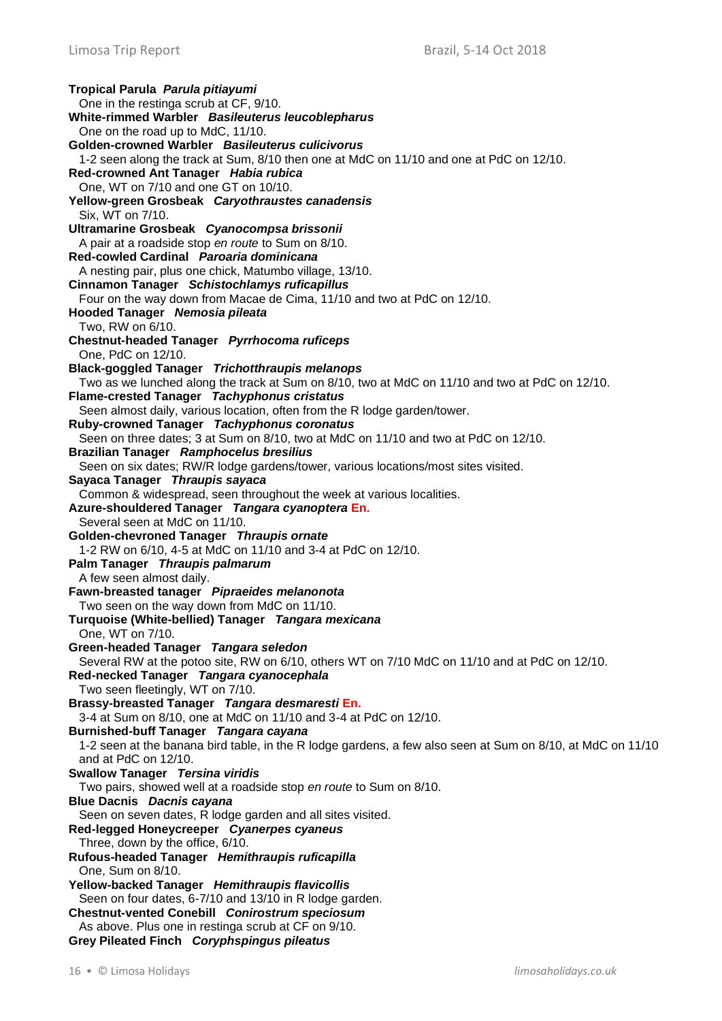**Tropical Parula** *Parula pitiayumi* One in the restinga scrub at CF, 9/10. **White-rimmed Warbler** *Basileuterus leucoblepharus* One on the road up to MdC, 11/10. **Golden-crowned Warbler** *Basileuterus culicivorus* 1-2 seen along the track at Sum, 8/10 then one at MdC on 11/10 and one at PdC on 12/10. **Red-crowned Ant Tanager** *Habia rubica* One, WT on 7/10 and one GT on 10/10. **Yellow-green Grosbeak** *Caryothraustes canadensis* Six, WT on 7/10. **Ultramarine Grosbeak** *Cyanocompsa brissonii* A pair at a roadside stop *en route* to Sum on 8/10. **Red-cowled Cardinal** *Paroaria dominicana* A nesting pair, plus one chick, Matumbo village, 13/10. **Cinnamon Tanager** *Schistochlamys ruficapillus* Four on the way down from Macae de Cima, 11/10 and two at PdC on 12/10. **Hooded Tanager** *Nemosia pileata* Two, RW on 6/10. **Chestnut-headed Tanager** *Pyrrhocoma ruficeps* One, PdC on 12/10. **Black-goggled Tanager** *Trichotthraupis melanops* Two as we lunched along the track at Sum on 8/10, two at MdC on 11/10 and two at PdC on 12/10. **Flame-crested Tanager** *Tachyphonus cristatus* Seen almost daily, various location, often from the R lodge garden/tower. **Ruby-crowned Tanager** *Tachyphonus coronatus* Seen on three dates; 3 at Sum on 8/10, two at MdC on 11/10 and two at PdC on 12/10. **Brazilian Tanager** *Ramphocelus bresilius* Seen on six dates; RW/R lodge gardens/tower, various locations/most sites visited. **Sayaca Tanager** *Thraupis sayaca* Common & widespread, seen throughout the week at various localities. **Azure-shouldered Tanager** *Tangara cyanoptera* **En.** Several seen at MdC on 11/10. **Golden-chevroned Tanager** *Thraupis ornate* 1-2 RW on 6/10, 4-5 at MdC on 11/10 and 3-4 at PdC on 12/10. **Palm Tanager** *Thraupis palmarum* A few seen almost daily. **Fawn-breasted tanager** *Pipraeides melanonota* Two seen on the way down from MdC on 11/10. **Turquoise (White-bellied) Tanager** *Tangara mexicana* One, WT on 7/10. **Green-headed Tanager** *Tangara seledon* Several RW at the potoo site, RW on 6/10, others WT on 7/10 MdC on 11/10 and at PdC on 12/10. **Red-necked Tanager** *Tangara cyanocephala* Two seen fleetingly, WT on 7/10. **Brassy-breasted Tanager** *Tangara desmaresti* **En.** 3-4 at Sum on 8/10, one at MdC on 11/10 and 3-4 at PdC on 12/10. **Burnished-buff Tanager** *Tangara cayana* 1-2 seen at the banana bird table, in the R lodge gardens, a few also seen at Sum on 8/10, at MdC on 11/10 and at PdC on 12/10. **Swallow Tanager** *Tersina viridis* Two pairs, showed well at a roadside stop *en route* to Sum on 8/10. **Blue Dacnis** *Dacnis cayana* Seen on seven dates, R lodge garden and all sites visited. **Red-legged Honeycreeper** *Cyanerpes cyaneus* Three, down by the office, 6/10. **Rufous-headed Tanager** *Hemithraupis ruficapilla* One, Sum on 8/10. **Yellow-backed Tanager** *Hemithraupis flavicollis* Seen on four dates, 6-7/10 and 13/10 in R lodge garden. **Chestnut-vented Conebill** *Conirostrum speciosum* As above. Plus one in restinga scrub at CF on 9/10. **Grey Pileated Finch** *Coryphspingus pileatus*